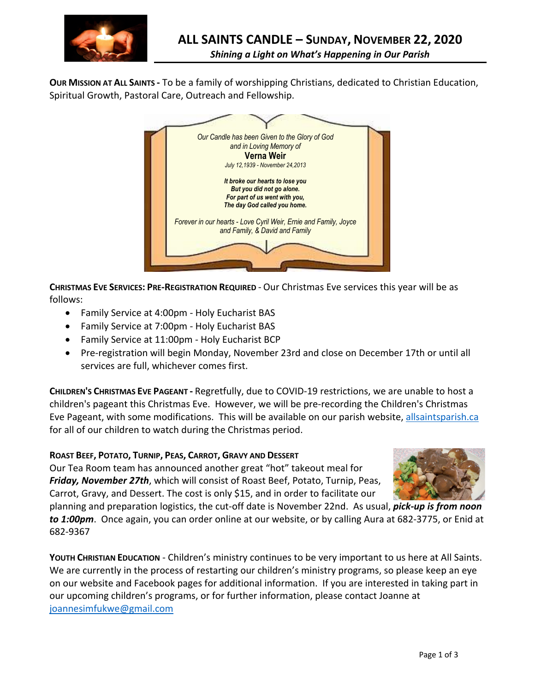

**OUR MISSION AT ALL SAINTS -** To be a family of worshipping Christians, dedicated to Christian Education, Spiritual Growth, Pastoral Care, Outreach and Fellowship.



**CHRISTMAS EVE SERVICES: PRE-REGISTRATION REQUIRED** - Our Christmas Eve services this year will be as follows:

- Family Service at 4:00pm Holy Eucharist BAS
- Family Service at 7:00pm Holy Eucharist BAS
- Family Service at 11:00pm Holy Eucharist BCP
- Pre-registration will begin Monday, November 23rd and close on December 17th or until all services are full, whichever comes first.

**CHILDREN'S CHRISTMAS EVE PAGEANT -** Regretfully, due to COVID-19 restrictions, we are unable to host a children's pageant this Christmas Eve. However, we will be pre-recording the Children's Christmas Eve Pageant, with some modifications. This will be available on our parish website, allsaintsparish.ca for all of our children to watch during the Christmas period.

### **ROAST BEEF, POTATO, TURNIP, PEAS, CARROT, GRAVY AND DESSERT**

Our Tea Room team has announced another great "hot" takeout meal for *Friday, November 27th*, which will consist of Roast Beef, Potato, Turnip, Peas, Carrot, Gravy, and Dessert. The cost is only \$15, and in order to facilitate our



planning and preparation logistics, the cut-off date is November 22nd. As usual, *pick-up is from noon to 1:00pm*. Once again, you can order online at our website, or by calling Aura at 682-3775, or Enid at 682-9367

**YOUTH CHRISTIAN EDUCATION** - Children's ministry continues to be very important to us here at All Saints. We are currently in the process of restarting our children's ministry programs, so please keep an eye on our website and Facebook pages for additional information. If you are interested in taking part in our upcoming children's programs, or for further information, please contact Joanne at joannesimfukwe@gmail.com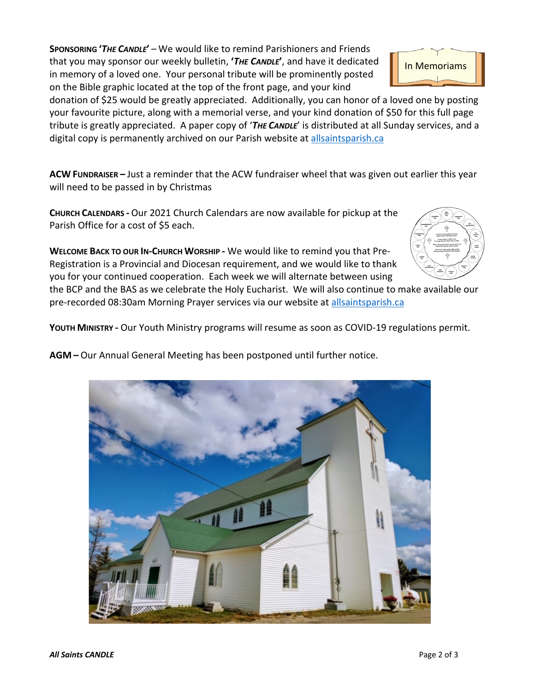**SPONSORING '***THE CANDLE***'** – We would like to remind Parishioners and Friends that you may sponsor our weekly bulletin, **'***THE CANDLE***'**, and have it dedicated in memory of a loved one. Your personal tribute will be prominently posted on the Bible graphic located at the top of the front page, and your kind



**ACW FUNDRAISER –** Just a reminder that the ACW fundraiser wheel that was given out earlier this year will need to be passed in by Christmas

**CHURCH CALENDARS -** Our 2021 Church Calendars are now available for pickup at the Parish Office for a cost of \$5 each.

**WELCOME BACK TO OUR IN-CHURCH WORSHIP -** We would like to remind you that Pre-Registration is a Provincial and Diocesan requirement, and we would like to thank you for your continued cooperation. Each week we will alternate between using



In Memoriams

the BCP and the BAS as we celebrate the Holy Eucharist. We will also continue to make available our pre-recorded 08:30am Morning Prayer services via our website at allsaintsparish.ca

**YOUTH MINISTRY -** Our Youth Ministry programs will resume as soon as COVID-19 regulations permit.

**AGM –** Our Annual General Meeting has been postponed until further notice.